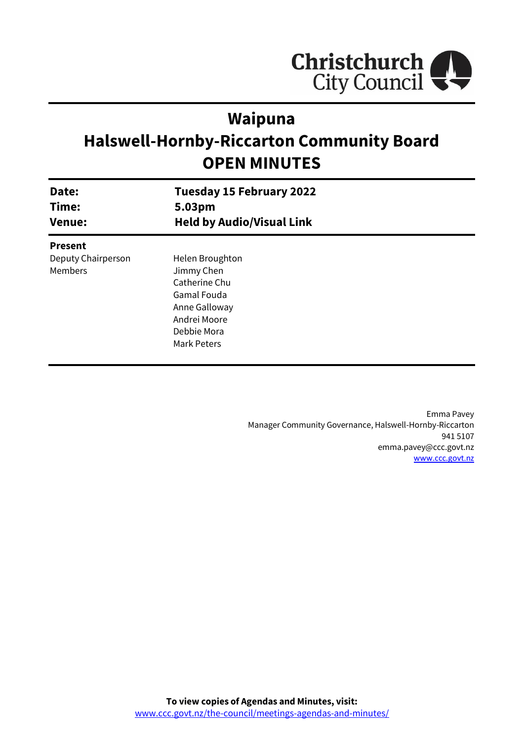

# **Waipuna**

# **Halswell-Hornby-Riccarton Community Board OPEN MINUTES**

| Date:<br>Time:<br><b>Venue:</b> | <b>Tuesday 15 February 2022</b><br>5.03pm |  |
|---------------------------------|-------------------------------------------|--|
|                                 |                                           |  |
|                                 | <b>Present</b>                            |  |
| Deputy Chairperson              | Helen Broughton                           |  |
| <b>Members</b>                  | Jimmy Chen                                |  |
|                                 | Catherine Chu                             |  |
|                                 | <b>Gamal Fouda</b>                        |  |
|                                 | Anne Galloway                             |  |
|                                 | Andrei Moore                              |  |
|                                 | Debbie Mora                               |  |
|                                 | Mark Peters                               |  |
|                                 |                                           |  |

Emma Pavey Manager Community Governance, Halswell-Hornby-Riccarton 941 5107 emma.pavey@ccc.govt.nz [www.ccc.govt.nz](http://www.ccc.govt.nz/)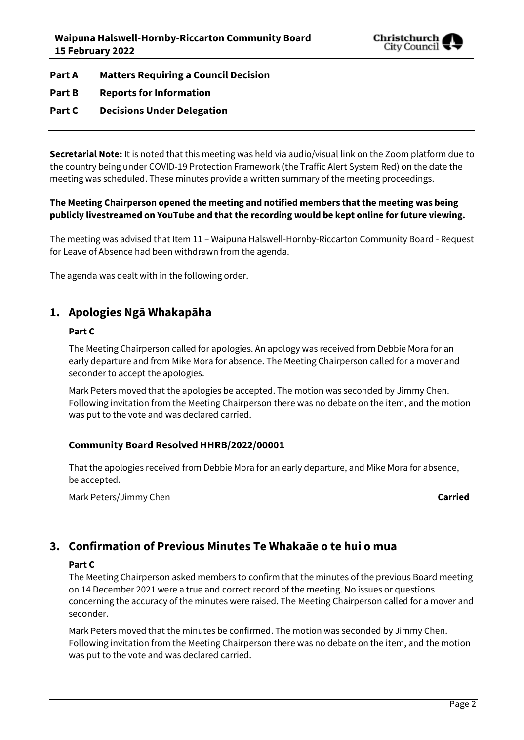

**Part A Matters Requiring a Council Decision**

**Part B Reports for Information**

### **Part C Decisions Under Delegation**

**Secretarial Note:** It is noted that this meeting was held via audio/visual link on the Zoom platform due to the country being under COVID-19 Protection Framework (the Traffic Alert System Red) on the date the meeting was scheduled. These minutes provide a written summary of the meeting proceedings.

#### **The Meeting Chairperson opened the meeting and notified members that the meeting was being publicly livestreamed on YouTube and that the recording would be kept online for future viewing.**

The meeting was advised that Item 11 – Waipuna Halswell-Hornby-Riccarton Community Board - Request for Leave of Absence had been withdrawn from the agenda.

The agenda was dealt with in the following order.

## **1. Apologies Ngā Whakapāha**

#### **Part C**

The Meeting Chairperson called for apologies. An apology was received from Debbie Mora for an early departure and from Mike Mora for absence. The Meeting Chairperson called for a mover and seconder to accept the apologies.

Mark Peters moved that the apologies be accepted. The motion was seconded by Jimmy Chen. Following invitation from the Meeting Chairperson there was no debate on the item, and the motion was put to the vote and was declared carried.

#### **Community Board Resolved HHRB/2022/00001**

That the apologies received from Debbie Mora for an early departure, and Mike Mora for absence, be accepted.

Mark Peters/Jimmy Chen **Carried**

# **3. Confirmation of Previous Minutes Te Whakaāe o te hui o mua**

#### **Part C**

The Meeting Chairperson asked members to confirm that the minutes of the previous Board meeting on 14 December 2021 were a true and correct record of the meeting. No issues or questions concerning the accuracy of the minutes were raised. The Meeting Chairperson called for a mover and seconder.

Mark Peters moved that the minutes be confirmed. The motion was seconded by Jimmy Chen. Following invitation from the Meeting Chairperson there was no debate on the item, and the motion was put to the vote and was declared carried.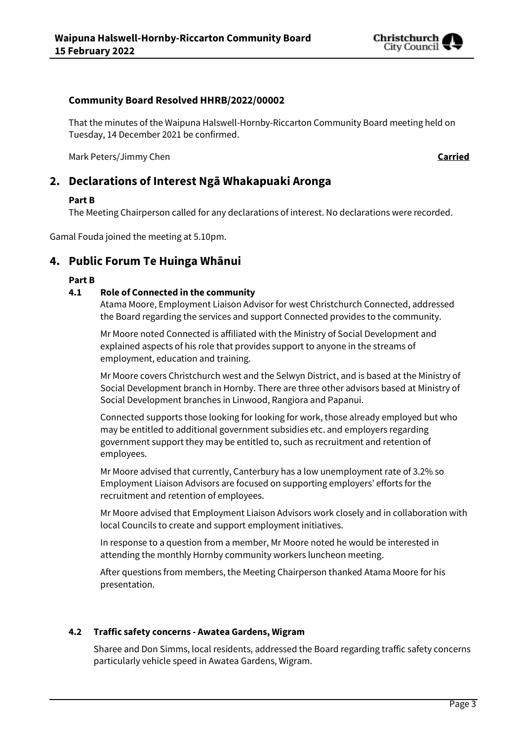

#### **Community Board Resolved HHRB/2022/00002**

That the minutes of the Waipuna Halswell-Hornby-Riccarton Community Board meeting held on Tuesday, 14 December 2021 be confirmed.

Mark Peters/Jimmy Chen **Carried**

# **2. Declarations of Interest Ngā Whakapuaki Aronga**

#### **Part B**

The Meeting Chairperson called for any declarations of interest. No declarations were recorded.

Gamal Fouda joined the meeting at 5.10pm.

# **4. Public Forum Te Huinga Whānui**

#### **Part B**

#### **4.1 Role of Connected in the community**

Atama Moore, Employment Liaison Advisor for west Christchurch Connected, addressed the Board regarding the services and support Connected provides to the community.

Mr Moore noted Connected is affiliated with the Ministry of Social Development and explained aspects of his role that provides support to anyone in the streams of employment, education and training.

Mr Moore covers Christchurch west and the Selwyn District, and is based at the Ministry of Social Development branch in Hornby. There are three other advisors based at Ministry of Social Development branches in Linwood, Rangiora and Papanui.

Connected supports those looking for looking for work, those already employed but who may be entitled to additional government subsidies etc. and employers regarding government support they may be entitled to, such as recruitment and retention of employees.

Mr Moore advised that currently, Canterbury has a low unemployment rate of 3.2% so Employment Liaison Advisors are focused on supporting employers' efforts for the recruitment and retention of employees.

Mr Moore advised that Employment Liaison Advisors work closely and in collaboration with local Councils to create and support employment initiatives.

In response to a question from a member, Mr Moore noted he would be interested in attending the monthly Hornby community workers luncheon meeting.

After questions from members, the Meeting Chairperson thanked Atama Moore for his presentation.

#### **4.2 Traffic safety concerns - Awatea Gardens, Wigram**

Sharee and Don Simms, local residents, addressed the Board regarding traffic safety concerns particularly vehicle speed in Awatea Gardens, Wigram.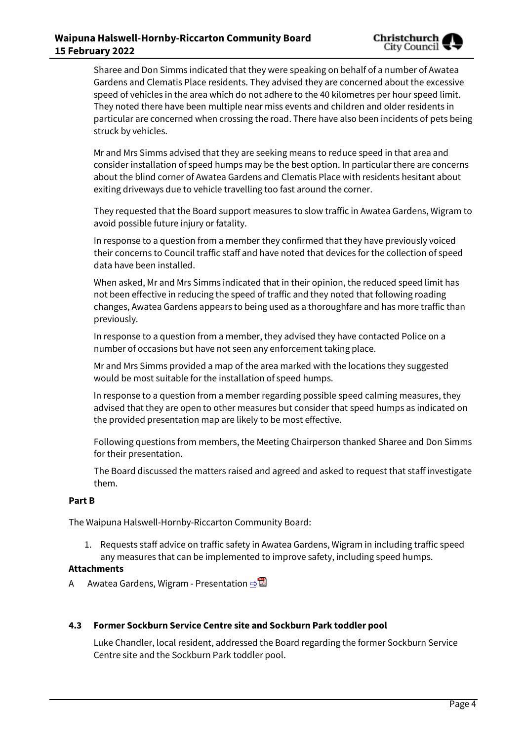#### **Waipuna Halswell-Hornby-Riccarton Community Board 15 February 2022**

Sharee and Don Simms indicated that they were speaking on behalf of a number of Awatea Gardens and Clematis Place residents. They advised they are concerned about the excessive speed of vehicles in the area which do not adhere to the 40 kilometres per hour speed limit. They noted there have been multiple near miss events and children and older residents in particular are concerned when crossing the road. There have also been incidents of pets being struck by vehicles.

Mr and Mrs Simms advised that they are seeking means to reduce speed in that area and consider installation of speed humps may be the best option. In particular there are concerns about the blind corner of Awatea Gardens and Clematis Place with residents hesitant about exiting driveways due to vehicle travelling too fast around the corner.

They requested that the Board support measures to slow traffic in Awatea Gardens, Wigram to avoid possible future injury or fatality.

In response to a question from a member they confirmed that they have previously voiced their concerns to Council traffic staff and have noted that devices for the collection of speed data have been installed.

When asked, Mr and Mrs Simms indicated that in their opinion, the reduced speed limit has not been effective in reducing the speed of traffic and they noted that following roading changes, Awatea Gardens appears to being used as a thoroughfare and has more traffic than previously.

In response to a question from a member, they advised they have contacted Police on a number of occasions but have not seen any enforcement taking place.

Mr and Mrs Simms provided a map of the area marked with the locations they suggested would be most suitable for the installation of speed humps.

In response to a question from a member regarding possible speed calming measures, they advised that they are open to other measures but consider that speed humps as indicated on the provided presentation map are likely to be most effective.

Following questions from members, the Meeting Chairperson thanked Sharee and Don Simms for their presentation.

The Board discussed the matters raised and agreed and asked to request that staff investigate them.

#### **Part B**

The Waipuna Halswell-Hornby-Riccarton Community Board:

1. Requests staff advice on traffic safety in Awatea Gardens, Wigram in including traffic speed any measures that can be implemented to improve safety, including speed humps.

#### **Attachments**

A Awatea Gardens, Wigram - Presentation ⇒

#### **4.3 Former Sockburn Service Centre site and Sockburn Park toddler pool**

Luke Chandler, local resident, addressed the Board regarding the former Sockburn Service Centre site and the Sockburn Park toddler pool.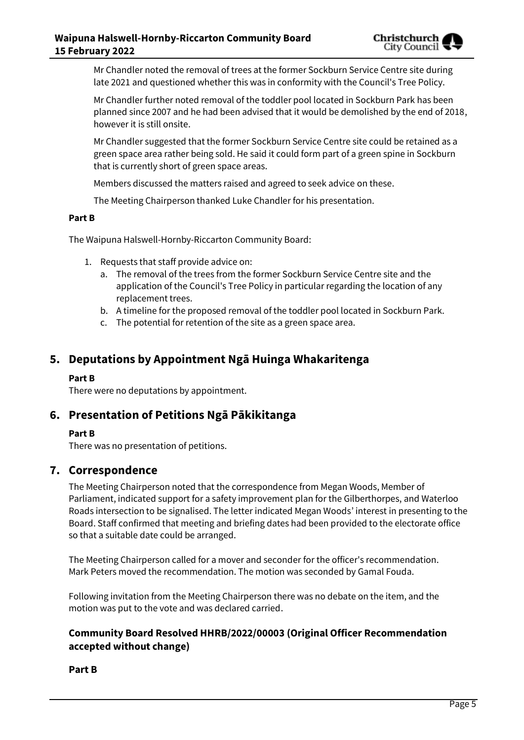Mr Chandler noted the removal of trees at the former Sockburn Service Centre site during late 2021 and questioned whether this was in conformity with the Council's Tree Policy.

Mr Chandler further noted removal of the toddler pool located in Sockburn Park has been planned since 2007 and he had been advised that it would be demolished by the end of 2018, however it is still onsite.

Mr Chandler suggested that the former Sockburn Service Centre site could be retained as a green space area rather being sold. He said it could form part of a green spine in Sockburn that is currently short of green space areas.

Members discussed the matters raised and agreed to seek advice on these.

The Meeting Chairperson thanked Luke Chandler for his presentation.

#### **Part B**

The Waipuna Halswell-Hornby-Riccarton Community Board:

- 1. Requests that staff provide advice on:
	- a. The removal of the trees from the former Sockburn Service Centre site and the application of the Council's Tree Policy in particular regarding the location of any replacement trees.
	- b. A timeline for the proposed removal of the toddler pool located in Sockburn Park.
	- c. The potential for retention of the site as a green space area.

### **5. Deputations by Appointment Ngā Huinga Whakaritenga**

#### **Part B**

There were no deputations by appointment.

### **6. Presentation of Petitions Ngā Pākikitanga**

#### **Part B**

There was no presentation of petitions.

#### **7. Correspondence**

The Meeting Chairperson noted that the correspondence from Megan Woods, Member of Parliament, indicated support for a safety improvement plan for the Gilberthorpes, and Waterloo Roads intersection to be signalised. The letter indicated Megan Woods' interest in presenting to the Board. Staff confirmed that meeting and briefing dates had been provided to the electorate office so that a suitable date could be arranged.

The Meeting Chairperson called for a mover and seconder for the officer's recommendation. Mark Peters moved the recommendation. The motion was seconded by Gamal Fouda.

Following invitation from the Meeting Chairperson there was no debate on the item, and the motion was put to the vote and was declared carried.

#### **Community Board Resolved HHRB/2022/00003 (Original Officer Recommendation accepted without change)**

#### **Part B**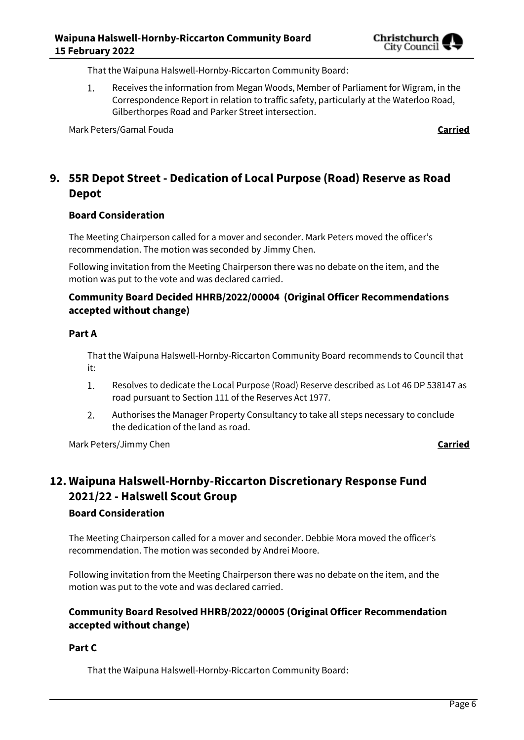That the Waipuna Halswell-Hornby-Riccarton Community Board:

Receives the information from Megan Woods, Member of Parliament for Wigram, in the  $1.$ Correspondence Report in relation to traffic safety, particularly at the Waterloo Road, Gilberthorpes Road and Parker Street intersection.

Mark Peters/Gamal Fouda **Carried**

# **9. 55R Depot Street - Dedication of Local Purpose (Road) Reserve as Road Depot**

#### **Board Consideration**

The Meeting Chairperson called for a mover and seconder. Mark Peters moved the officer's recommendation. The motion was seconded by Jimmy Chen.

Following invitation from the Meeting Chairperson there was no debate on the item, and the motion was put to the vote and was declared carried.

#### **Community Board Decided HHRB/2022/00004 (Original Officer Recommendations accepted without change)**

#### **Part A**

That the Waipuna Halswell-Hornby-Riccarton Community Board recommends to Council that it:

- $1.$ Resolves to dedicate the Local Purpose (Road) Reserve described as Lot 46 DP 538147 as road pursuant to Section 111 of the Reserves Act 1977.
- Authorises the Manager Property Consultancy to take all steps necessary to conclude  $2.$ the dedication of the land as road.

Mark Peters/Jimmy Chen **Carried**

# **12. Waipuna Halswell-Hornby-Riccarton Discretionary Response Fund 2021/22 - Halswell Scout Group**

#### **Board Consideration**

The Meeting Chairperson called for a mover and seconder. Debbie Mora moved the officer's recommendation. The motion was seconded by Andrei Moore.

Following invitation from the Meeting Chairperson there was no debate on the item, and the motion was put to the vote and was declared carried.

#### **Community Board Resolved HHRB/2022/00005 (Original Officer Recommendation accepted without change)**

#### **Part C**

That the Waipuna Halswell-Hornby-Riccarton Community Board: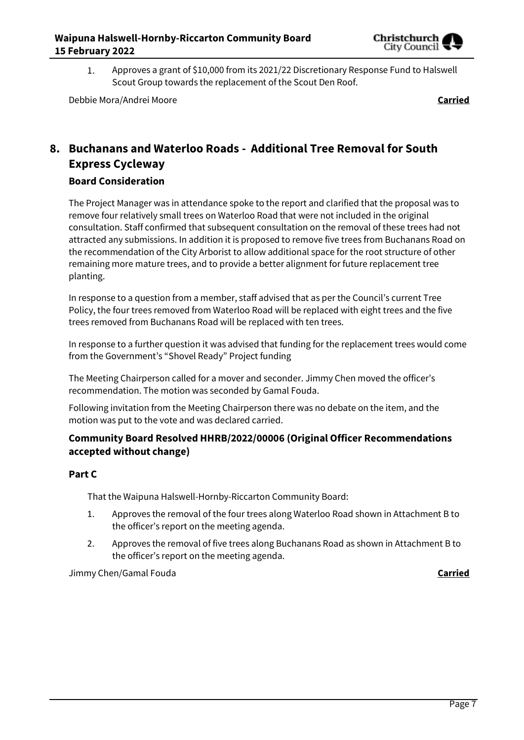

Approves a grant of \$10,000 from its 2021/22 Discretionary Response Fund to Halswell 1. Scout Group towards the replacement of the Scout Den Roof.

Debbie Mora/Andrei Moore **Carried**

# **8. Buchanans and Waterloo Roads - Additional Tree Removal for South Express Cycleway**

#### **Board Consideration**

The Project Manager was in attendance spoke to the report and clarified that the proposal was to remove four relatively small trees on Waterloo Road that were not included in the original consultation. Staff confirmed that subsequent consultation on the removal of these trees had not attracted any submissions. In addition it is proposed to remove five trees from Buchanans Road on the recommendation of the City Arborist to allow additional space for the root structure of other remaining more mature trees, and to provide a better alignment for future replacement tree planting.

In response to a question from a member, staff advised that as per the Council's current Tree Policy, the four trees removed from Waterloo Road will be replaced with eight trees and the five trees removed from Buchanans Road will be replaced with ten trees.

In response to a further question it was advised that funding for the replacement trees would come from the Government's "Shovel Ready" Project funding

The Meeting Chairperson called for a mover and seconder. Jimmy Chen moved the officer's recommendation. The motion was seconded by Gamal Fouda.

Following invitation from the Meeting Chairperson there was no debate on the item, and the motion was put to the vote and was declared carried.

#### **Community Board Resolved HHRB/2022/00006 (Original Officer Recommendations accepted without change)**

#### **Part C**

That the Waipuna Halswell-Hornby-Riccarton Community Board:

- 1. Approves the removal of the four trees along Waterloo Road shown in Attachment B to the officer's report on the meeting agenda.
- 2. Approves the removal of five trees along Buchanans Road as shown in Attachment B to the officer's report on the meeting agenda.

Jimmy Chen/Gamal Fouda **Carried**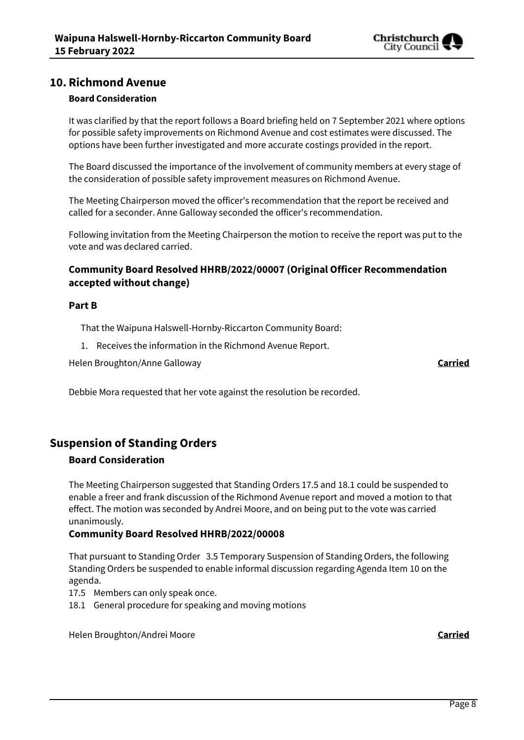

### **10. Richmond Avenue**

#### **Board Consideration**

It was clarified by that the report follows a Board briefing held on 7 September 2021 where options for possible safety improvements on Richmond Avenue and cost estimates were discussed. The options have been further investigated and more accurate costings provided in the report.

The Board discussed the importance of the involvement of community members at every stage of the consideration of possible safety improvement measures on Richmond Avenue.

The Meeting Chairperson moved the officer's recommendation that the report be received and called for a seconder. Anne Galloway seconded the officer's recommendation.

Following invitation from the Meeting Chairperson the motion to receive the report was put to the vote and was declared carried.

#### **Community Board Resolved HHRB/2022/00007 (Original Officer Recommendation accepted without change)**

#### **Part B**

That the Waipuna Halswell-Hornby-Riccarton Community Board:

1. Receives the information in the Richmond Avenue Report.

Helen Broughton/Anne Galloway **Carried**

Debbie Mora requested that her vote against the resolution be recorded.

# **Suspension of Standing Orders**

#### **Board Consideration**

The Meeting Chairperson suggested that Standing Orders 17.5 and 18.1 could be suspended to enable a freer and frank discussion of the Richmond Avenue report and moved a motion to that effect. The motion was seconded by Andrei Moore, and on being put to the vote was carried unanimously.

#### **Community Board Resolved HHRB/2022/00008**

That pursuant to Standing Order 3.5 Temporary Suspension of Standing Orders, the following Standing Orders be suspended to enable informal discussion regarding Agenda Item 10 on the agenda.

- 17.5 Members can only speak once.
- 18.1 General procedure for speaking and moving motions

Helen Broughton/Andrei Moore **Carried**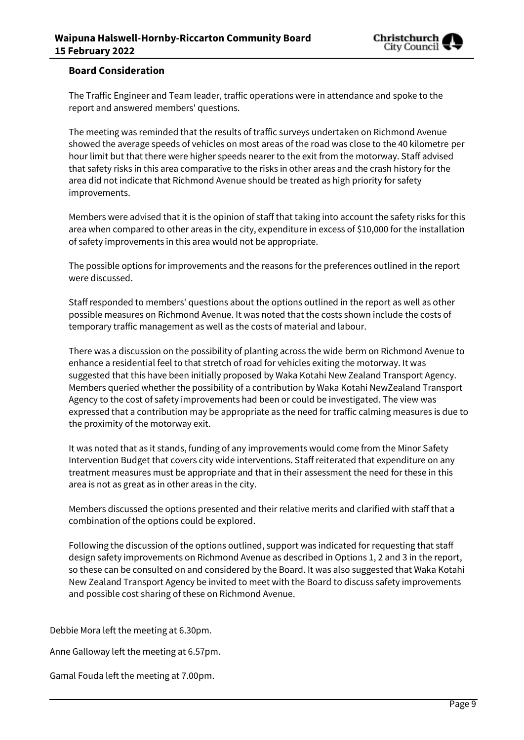

#### **Board Consideration**

The Traffic Engineer and Team leader, traffic operations were in attendance and spoke to the report and answered members' questions.

The meeting was reminded that the results of traffic surveys undertaken on Richmond Avenue showed the average speeds of vehicles on most areas of the road was close to the 40 kilometre per hour limit but that there were higher speeds nearer to the exit from the motorway. Staff advised that safety risks in this area comparative to the risks in other areas and the crash history for the area did not indicate that Richmond Avenue should be treated as high priority for safety improvements.

Members were advised that it is the opinion of staff that taking into account the safety risks for this area when compared to other areas in the city, expenditure in excess of \$10,000 for the installation of safety improvements in this area would not be appropriate.

The possible options for improvements and the reasons for the preferences outlined in the report were discussed.

Staff responded to members' questions about the options outlined in the report as well as other possible measures on Richmond Avenue. It was noted that the costs shown include the costs of temporary traffic management as well as the costs of material and labour.

There was a discussion on the possibility of planting across the wide berm on Richmond Avenue to enhance a residential feel to that stretch of road for vehicles exiting the motorway. It was suggested that this have been initially proposed by Waka Kotahi New Zealand Transport Agency. Members queried whether the possibility of a contribution by Waka Kotahi NewZealand Transport Agency to the cost of safety improvements had been or could be investigated. The view was expressed that a contribution may be appropriate as the need for traffic calming measures is due to the proximity of the motorway exit.

It was noted that as it stands, funding of any improvements would come from the Minor Safety Intervention Budget that covers city wide interventions. Staff reiterated that expenditure on any treatment measures must be appropriate and that in their assessment the need for these in this area is not as great as in other areas in the city.

Members discussed the options presented and their relative merits and clarified with staff that a combination of the options could be explored.

Following the discussion of the options outlined, support was indicated for requesting that staff design safety improvements on Richmond Avenue as described in Options 1, 2 and 3 in the report, so these can be consulted on and considered by the Board. It was also suggested that Waka Kotahi New Zealand Transport Agency be invited to meet with the Board to discuss safety improvements and possible cost sharing of these on Richmond Avenue.

Debbie Mora left the meeting at 6.30pm.

Anne Galloway left the meeting at 6.57pm.

Gamal Fouda left the meeting at 7.00pm.